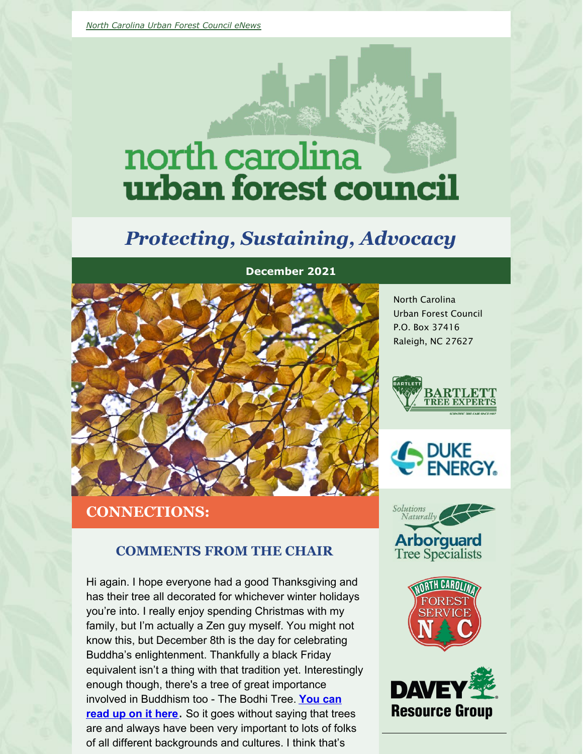# north carolina urban forest council

# *Protecting, Sustaining, Advocacy*



### **CONNECTIONS:**

#### **COMMENTS FROM THE CHAIR**

Hi again. I hope everyone had a good Thanksgiving and has their tree all decorated for whichever winter holidays you're into. I really enjoy spending Christmas with my family, but I'm actually a Zen guy myself. You might not know this, but December 8th is the day for celebrating Buddha's enlightenment. Thankfully a black Friday equivalent isn't a thing with that tradition yet. Interestingly enough though, there's a tree of great importance involved in [Buddhism](https://en.wikipedia.org/wiki/Bodhi_Tree) too - The Bodhi Tree. **You can read up on it here**. So it goes without saying that trees are and always have been very important to lots of folks of all different backgrounds and cultures. I think that's

North Carolina Urban Forest Council P.O. Box 37416 Raleigh, NC 27627









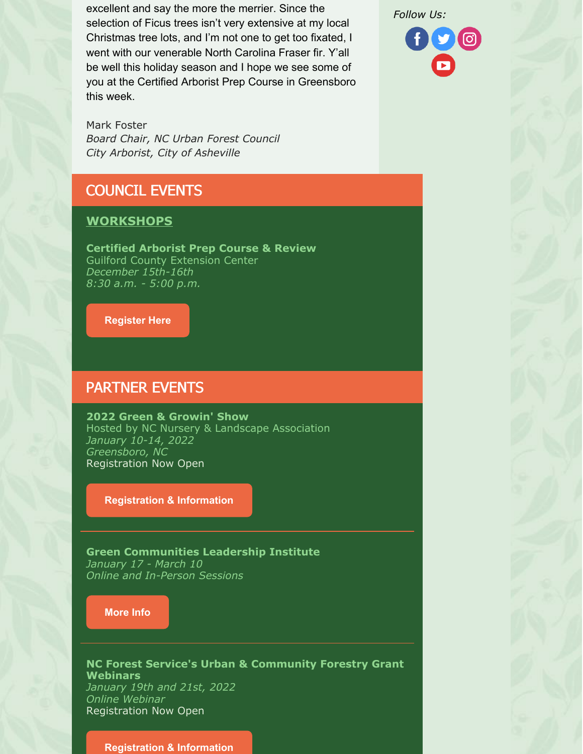excellent and say the more the merrier. Since the selection of Ficus trees isn't very extensive at my local Christmas tree lots, and I'm not one to get too fixated, I went with our venerable North Carolina Fraser fir. Y'all be well this holiday season and I hope we see some of you at the Certified Arborist Prep Course in Greensboro this week.

Mark Foster *Board Chair, NC Urban Forest Council City Arborist, City of Asheville*

# COUNCIL EVENTS

#### **WORKSHOPS**

**Certified Arborist Prep Course & Review** Guilford County Extension Center *December 15th-16th 8:30 a.m. - 5:00 p.m.*

**[Register](https://www.ncufc.org/event.php?id=75) Here**

#### PARTNER EVENTS

**2022 Green & Growin' Show** Hosted by NC Nursery & Landscape Association *January 10-14, 2022 Greensboro, NC* Registration Now Open

#### **[Registration](http://greenandgrowin.com/) & Information**

**Green Communities Leadership Institute** *January 17 - March 10 Online and In-Person Sessions*

#### **[More](https://www.greencommunitiesleadership.org/) Info**

**NC Forest Service's Urban & Community Forestry Grant Webinars** *January 19th and 21st, 2022 Online Webinar* Registration Now Open

#### **[Registration](https://www.ncufc.org/event.php?id=24) & Information**

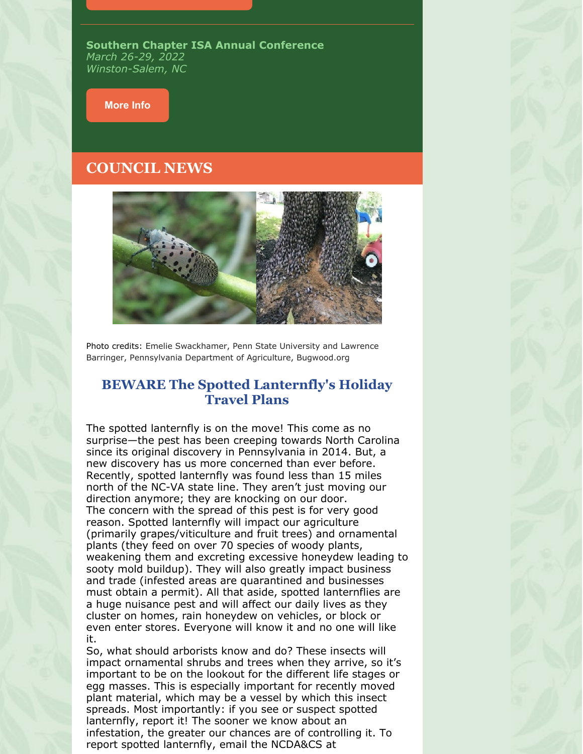**Southern Chapter ISA Annual Conference** *March 26-29, 2022 Winston-Salem, NC*

#### **[More](https://www.isasouthern.org/conference) Info**

#### **COUNCIL NEWS**



Photo credits: Emelie Swackhamer, Penn State University and Lawrence Barringer, Pennsylvania Department of Agriculture, Bugwood.org

#### **BEWARE The Spotted Lanternfly's Holiday Travel Plans**

The spotted lanternfly is on the move! This come as no surprise—the pest has been creeping towards North Carolina since its original discovery in Pennsylvania in 2014. But, a new discovery has us more concerned than ever before. Recently, spotted lanternfly was found less than 15 miles north of the NC-VA state line. They aren't just moving our direction anymore; they are knocking on our door. The concern with the spread of this pest is for very good reason. Spotted lanternfly will impact our agriculture (primarily grapes/viticulture and fruit trees) and ornamental plants (they feed on over 70 species of woody plants, weakening them and excreting excessive honeydew leading to sooty mold buildup). They will also greatly impact business and trade (infested areas are quarantined and businesses must obtain a permit). All that aside, spotted lanternflies are a huge nuisance pest and will affect our daily lives as they cluster on homes, rain honeydew on vehicles, or block or even enter stores. Everyone will know it and no one will like it.

So, what should arborists know and do? These insects will impact ornamental shrubs and trees when they arrive, so it's important to be on the lookout for the different life stages or egg masses. This is especially important for recently moved plant material, which may be a vessel by which this insect spreads. Most importantly: if you see or suspect spotted lanternfly, report it! The sooner we know about an infestation, the greater our chances are of controlling it. To report spotted lanternfly, email the NCDA&CS at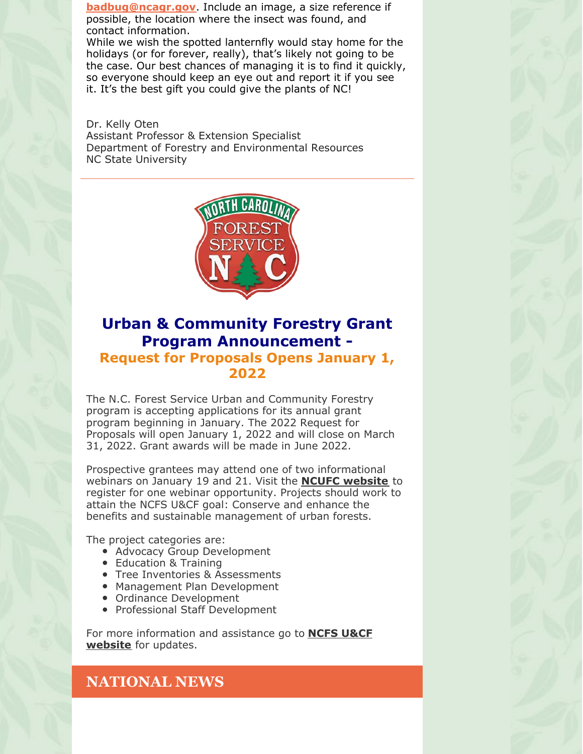**[badbug@ncagr.gov](mailto:badbug@ncagr.gov)**. Include an image, a size reference if possible, the location where the insect was found, and contact information.

While we wish the spotted lanternfly would stay home for the holidays (or for forever, really), that's likely not going to be the case. Our best chances of managing it is to find it quickly, so everyone should keep an eye out and report it if you see it. It's the best gift you could give the plants of NC!

Dr. Kelly Oten Assistant Professor & Extension Specialist Department of Forestry and Environmental Resources NC State University



### **Urban & Community Forestry Grant Program Announcement - Request for Proposals Opens January 1, 2022**

The N.C. Forest Service Urban and Community Forestry program is accepting applications for its annual grant program beginning in January. The 2022 Request for Proposals will open January 1, 2022 and will close on March 31, 2022. Grant awards will be made in June 2022.

Prospective grantees may attend one of two informational webinars on January 19 and 21. Visit the **NCUFC [website](https://www.ncufc.org/events.php)** to register for one webinar opportunity. Projects should work to attain the NCFS U&CF goal: Conserve and enhance the benefits and sustainable management of urban forests.

The project categories are:

- Advocacy Group Development
- Education & Training
- Tree Inventories & Assessments
- Management Plan Development
- Ordinance Development
- Professional Staff Development

For more [information](https://www.ncforestservice.gov/Urban/urban_grant_program.htm) and assistance go to **NCFS U&CF website** for updates.

### **NATIONAL NEWS**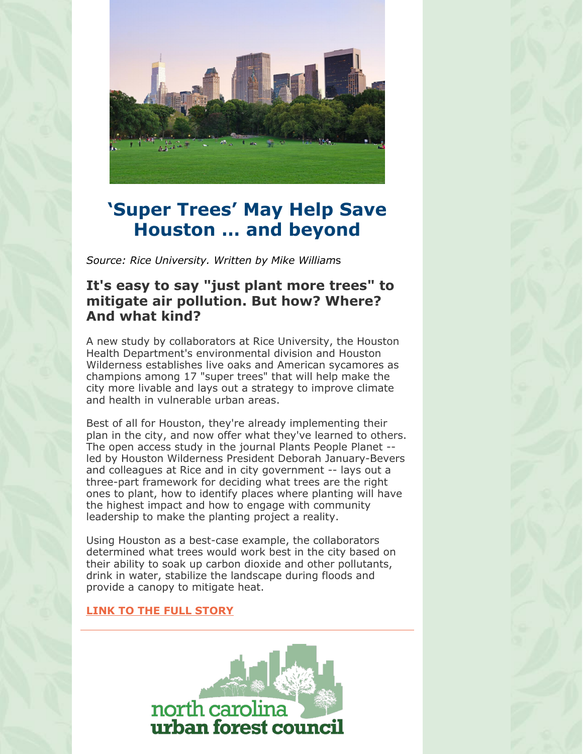

# **'Super Trees' May Help Save Houston … and beyond**

*Source: Rice University. Written by Mike William*s

### **It's easy to say "just plant more trees" to mitigate air pollution. But how? Where? And what kind?**

A new study by collaborators at Rice University, the Houston Health Department's environmental division and Houston Wilderness establishes live oaks and American sycamores as champions among 17 "super trees" that will help make the city more livable and lays out a strategy to improve climate and health in vulnerable urban areas.

Best of all for Houston, they're already implementing their plan in the city, and now offer what they've learned to others. The open access study in the journal Plants People Planet - led by Houston Wilderness President Deborah January-Bevers and colleagues at Rice and in city government -- lays out a three-part framework for deciding what trees are the right ones to plant, how to identify places where planting will have the highest impact and how to engage with community leadership to make the planting project a reality.

Using Houston as a best-case example, the collaborators determined what trees would work best in the city based on their ability to soak up carbon dioxide and other pollutants, drink in water, stabilize the landscape during floods and provide a canopy to mitigate heat.

#### **LINK TO THE FULL [STORY](https://www.sciencedaily.com/releases/2021/12/211209201458.htm)**